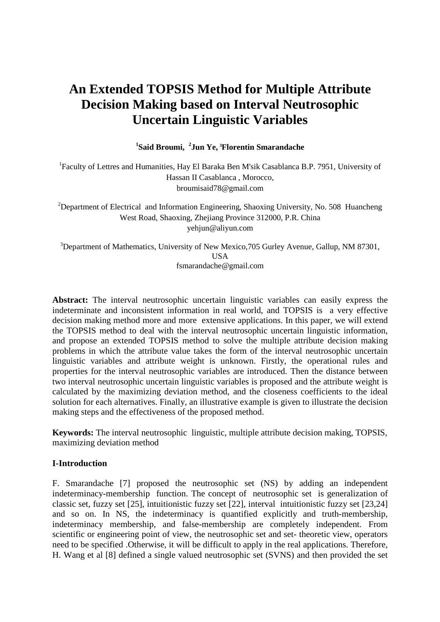# **An Extended TOPSIS Method for Multiple Attribute Decision Making based on Interval Neutrosophic Uncertain Linguistic Variables**

**1 Said Broumi, <sup>2</sup> Jun Ye, <sup>3</sup>Florentin Smarandache** 

<sup>1</sup>Faculty of Lettres and Humanities, Hay El Baraka Ben M'sik Casablanca B.P. 7951, University of Hassan II Casablanca , Morocco, broumisaid78@gmail.com

<sup>2</sup>Department of Electrical and Information Engineering, Shaoxing University, No. 508 Huancheng West Road, Shaoxing, Zhejiang Province 312000, P.R. China yehjun@aliyun.com

<sup>3</sup>Department of Mathematics, University of New Mexico, 705 Gurley Avenue, Gallup, NM 87301, **IISA** fsmarandache@gmail.com

**Abstract:** The interval neutrosophic uncertain linguistic variables can easily express the indeterminate and inconsistent information in real world, and TOPSIS is a very effective decision making method more and more extensive applications. In this paper, we will extend the TOPSIS method to deal with the interval neutrosophic uncertain linguistic information, and propose an extended TOPSIS method to solve the multiple attribute decision making problems in which the attribute value takes the form of the interval neutrosophic uncertain linguistic variables and attribute weight is unknown. Firstly, the operational rules and properties for the interval neutrosophic variables are introduced. Then the distance between two interval neutrosophic uncertain linguistic variables is proposed and the attribute weight is calculated by the maximizing deviation method, and the closeness coefficients to the ideal solution for each alternatives. Finally, an illustrative example is given to illustrate the decision making steps and the effectiveness of the proposed method.

**Keywords:** The interval neutrosophic linguistic, multiple attribute decision making, TOPSIS, maximizing deviation method

### **I-Introduction**

F. Smarandache [7] proposed the neutrosophic set (NS) by adding an independent indeterminacy-membership function. The concept of neutrosophic set is generalization of classic set, fuzzy set [25], intuitionistic fuzzy set [22], interval intuitionistic fuzzy set [23,24] and so on. In NS, the indeterminacy is quantified explicitly and truth-membership, indeterminacy membership, and false-membership are completely independent. From scientific or engineering point of view, the neutrosophic set and set- theoretic view, operators need to be specified .Otherwise, it will be difficult to apply in the real applications. Therefore, H. Wang et al [8] defined a single valued neutrosophic set (SVNS) and then provided the set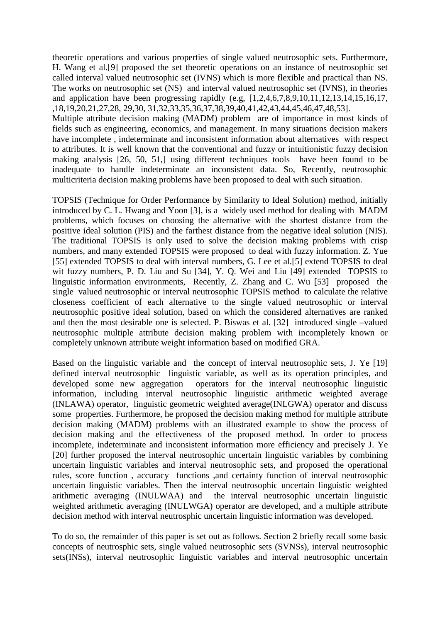theoretic operations and various properties of single valued neutrosophic sets. Furthermore, H. Wang et al.[9] proposed the set theoretic operations on an instance of neutrosophic set called interval valued neutrosophic set (IVNS) which is more flexible and practical than NS. The works on neutrosophic set (NS) and interval valued neutrosophic set (IVNS), in theories and application have been progressing rapidly (e.g, [1,2,4,6,7,8,9,10,11,12,13,14,15,16,17, ,18,19,20,21,27,28, 29,30, 31,32,33,35,36,37,38,39,40,41,42,43,44,45,46,47,48,53].

Multiple attribute decision making (MADM) problem are of importance in most kinds of fields such as engineering, economics, and management. In many situations decision makers have incomplete , indeterminate and inconsistent information about alternatives with respect to attributes. It is well known that the conventional and fuzzy or intuitionistic fuzzy decision making analysis [26, 50, 51,] using different techniques tools have been found to be inadequate to handle indeterminate an inconsistent data. So, Recently, neutrosophic multicriteria decision making problems have been proposed to deal with such situation.

TOPSIS (Technique for Order Performance by Similarity to Ideal Solution) method, initially introduced by C. L. Hwang and Yoon [3], is a widely used method for dealing with MADM problems, which focuses on choosing the alternative with the shortest distance from the positive ideal solution (PIS) and the farthest distance from the negative ideal solution (NIS). The traditional TOPSIS is only used to solve the decision making problems with crisp numbers, and many extended TOPSIS were proposed to deal with fuzzy information. Z. Yue [55] extended TOPSIS to deal with interval numbers, G. Lee et al.[5] extend TOPSIS to deal wit fuzzy numbers, P. D. Liu and Su [34], Y. Q. Wei and Liu [49] extended TOPSIS to linguistic information environments, Recently, Z. Zhang and C. Wu [53] proposed the single valued neutrosophic or interval neutrosophic TOPSIS method to calculate the relative closeness coefficient of each alternative to the single valued neutrosophic or interval neutrosophic positive ideal solution, based on which the considered alternatives are ranked and then the most desirable one is selected. P. Biswas et al. [32] introduced single –valued neutrosophic multiple attribute decision making problem with incompletely known or completely unknown attribute weight information based on modified GRA.

Based on the linguistic variable and the concept of interval neutrosophic sets, J. Ye [19] defined interval neutrosophic linguistic variable, as well as its operation principles, and developed some new aggregation operators for the interval neutrosophic linguistic information, including interval neutrosophic linguistic arithmetic weighted average (INLAWA) operator, linguistic geometric weighted average(INLGWA) operator and discuss some properties. Furthermore, he proposed the decision making method for multiple attribute decision making (MADM) problems with an illustrated example to show the process of decision making and the effectiveness of the proposed method. In order to process incomplete, indeterminate and inconsistent information more efficiency and precisely J. Ye [20] further proposed the interval neutrosophic uncertain linguistic variables by combining uncertain linguistic variables and interval neutrosophic sets, and proposed the operational rules, score function , accuracy functions ,and certainty function of interval neutrosophic uncertain linguistic variables. Then the interval neutrosophic uncertain linguistic weighted arithmetic averaging (INULWAA) and the interval neutrosophic uncertain linguistic weighted arithmetic averaging (INULWGA) operator are developed, and a multiple attribute decision method with interval neutrosphic uncertain linguistic information was developed.

To do so, the remainder of this paper is set out as follows. Section 2 briefly recall some basic concepts of neutrosphic sets, single valued neutrosophic sets (SVNSs), interval neutrosophic sets(INSs), interval neutrosophic linguistic variables and interval neutrosophic uncertain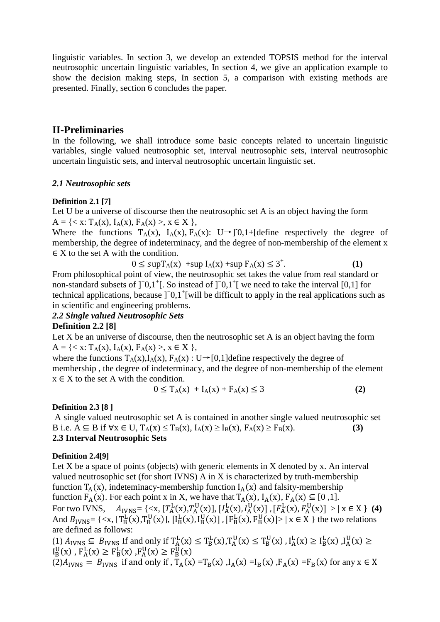linguistic variables. In section 3, we develop an extended TOPSIS method for the interval neutrosophic uncertain linguistic variables, In section 4, we give an application example to show the decision making steps, In section 5, a comparison with existing methods are presented. Finally, section 6 concludes the paper.

# **II-Preliminaries**

In the following, we shall introduce some basic concepts related to uncertain linguistic variables, single valued neutrosophic set, interval neutrosophic sets, interval neutrosophic uncertain linguistic sets, and interval neutrosophic uncertain linguistic set.

# *2.1 Neutrosophic sets*

# **Definition 2.1 [7]**

Let U be a universe of discourse then the neutrosophic set A is an object having the form  $A = \{ \langle x : T_A(x), I_A(x), F_A(x) \rangle, x \in X \}$ 

Where the functions  $T_A(x)$ ,  $I_A(x)$ ,  $F_A(x)$ : U→]<sup>-</sup>0,1+[define respectively the degree of membership, the degree of indeterminacy, and the degree of non-membership of the element x  $\in$  X to the set A with the condition.

$$
0 \leq \sup T_A(x) + \sup I_A(x) + \sup F_A(x) \leq 3^+.
$$
 (1)

From philosophical point of view, the neutrosophic set takes the value from real standard or non-standard subsets of ]<sup>−</sup>0,1<sup>+</sup>[. So instead of ]<sup>−</sup>0,1<sup>+</sup>[ we need to take the interval [0,1] for technical applications, because ]<sup>−</sup>0,1<sup>+</sup>[will be difficult to apply in the real applications such as in scientific and engineering problems.

# *2.2 Single valued Neutrosophic Sets*

# **Definition 2.2 [8]**

Let X be an universe of discourse, then the neutrosophic set A is an object having the form  $A = \{ \langle x : T_A(x), I_A(x), F_A(x) \rangle, x \in X \}$ 

where the functions  $T_A(x)$ ,  $I_A(x)$ ,  $F_A(x)$ : U→[0,1]define respectively the degree of membership , the degree of indeterminacy, and the degree of non-membership of the element  $x \in X$  to the set A with the condition.

$$
0 \le T_A(x) + I_A(x) + F_A(x) \le 3
$$
 (2)

# **Definition 2.3 [8 ]**

 A single valued neutrosophic set A is contained in another single valued neutrosophic set B i.e.  $A \subseteq B$  if  $\forall x \in U$ ,  $T_A(x) \le T_B(x)$ ,  $I_A(x) \ge I_B(x)$ ,  $F_A(x) \ge F_B(x)$ . **(3) 2.3 Interval Neutrosophic Sets** 

# **Definition 2.4[9]**

Let  $X$  be a space of points (objects) with generic elements in  $X$  denoted by  $X$ . An interval valued neutrosophic set (for short IVNS) A in X is characterized by truth-membership function  $T_A(x)$ , indeteminacy-membership function  $I_A(x)$  and falsity-membership function  $F_A(x)$ . For each point x in X, we have that  $T_A(x)$ ,  $I_A(x)$ ,  $F_A(x) \subseteq [0,1]$ . For two IVNS,  $A_{IVNS} = \{ \langle x, [T_A^L(x), T_A^U(x)], [I_A^L(x), I_A^U(x)] , [F_A^L(x), F_A^U(x)] \rangle | x \in X \}$  (4) And  $B_{\text{IVNS}} = \{ \langle x, [T_{\text{B}}^{\text{L}}(x), T_{\text{B}}^{\text{U}}(x)], [I_{\text{B}}^{\text{L}}(x), I_{\text{B}}^{\text{U}}(x)] , [F_{\text{B}}^{\text{L}}(x), F_{\text{B}}^{\text{U}}(x)] \rangle \mid x \in X \}$  the two relations are defined as follows:

(1)  $A_{IVNS} \subseteq B_{IVNS}$  If and only if  $T_A^L(x) \le T_B^L(x)$ ,  $T_A^U(x) \le T_B^U(x)$ ,  $I_A^L(x) \ge I_B^L(x)$ ,  $I_A^U(x) \ge$  $I_B^0(x)$ ,  $F_A^L(x) \ge F_B^L(x)$ ,  $F_A^0(x) \ge F_B^0(x)$  $(2)A<sub>IVNS</sub> = B<sub>IVNS</sub>$  if and only if ,  $T_A(x) = T_B(x)$ ,  $I_A(x) = I_B(x)$ ,  $F_A(x) = F_B(x)$  for any  $x \in X$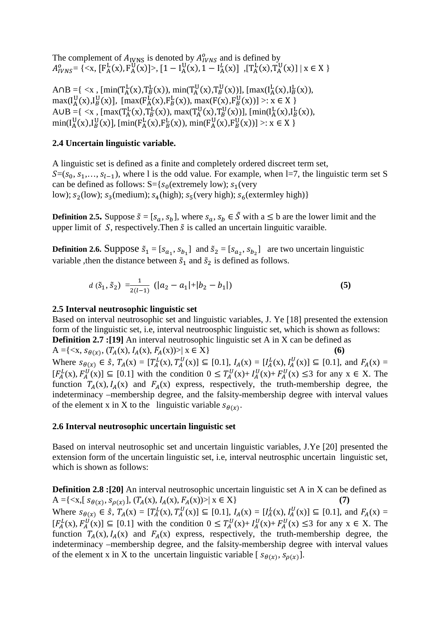The complement of  $A_{IVNS}$  is denoted by  $A_{IVNS}^0$  and is defined by  $A_{IVNS}^0 = \{ \langle x, [F_A^L(x), F_A^U(x)] \rangle, [1 - I_A^U(x), 1 - I_A^L(x)] , [T_A^L(x), T_A^U(x)] \mid x \in X \}$ 

A∩B ={ <x , [min(T<sub>A</sub>(x),T<sub>B</sub>(x)), min(T<sub>A</sub>(x),T<sub>B</sub>(x))], [max(I<sub>A</sub>(x),I<sub>B</sub>(x)),  $\max(I_A^U(x), I_B^U(x)]$ ,  $[\max(F_A^L(x), F_B^L(x)), \max(F(x), F_B^U(x))] >: x \in X$ A∪B ={ <x, [max(T<sub>A</sub><sup>L</sup>(x),T<sub>B</sub><sup>L</sup>(x)), max(T<sub>A</sub><sup>U</sup>(x),T<sub>B</sub><sup>U</sup>(x))], [min(I<sub>A</sub><sup>L</sup>(x),I<sub>B</sub><sup>L</sup>(x)),  $\min(I_A^0(x), I_B^0(x)]$ ,  $[\min(F_A^L(x), F_B^L(x)), \min(F_A^0(x), F_B^0(x))] >: x \in X$ 

### **2.4 Uncertain linguistic variable.**

A linguistic set is defined as a finite and completely ordered discreet term set,  $S=(s_0, s_1,..., s_{l-1})$ , where l is the odd value. For example, when l=7, the linguistic term set S can be defined as follows:  $S = \{s_0$ (extremely low);  $s_1$ (very low);  $s_2$ (low);  $s_3$ (medium);  $s_4$ (high);  $s_5$ (very high);  $s_6$ (extermley high)}

**Definition 2.5.** Suppose  $\tilde{s} = [s_a, s_b]$ , where  $s_a, s_b \in \tilde{S}$  with a  $\leq$  b are the lower limit and the upper limit of  $S$ , respectively. Then  $\tilde{s}$  is called an uncertain linguitic varaible.

**Definition 2.6.** Suppose  $\tilde{s}_1 = [s_{a_1}, s_{b_1}]$  and  $\tilde{s}_2 = [s_{a_2}, s_{b_2}]$  are two uncertain linguistic variable , then the distance between  $\tilde{s}_1$  and  $\tilde{s}_2$  is defined as follows.

$$
d\left(\tilde{s}_1, \tilde{s}_2\right) = \frac{1}{2(l-1)}\left(|a_2 - a_1| + |b_2 - b_1|\right) \tag{5}
$$

### **2.5 Interval neutrosophic linguistic set**

Based on interval neutrosophic set and linguistic variables, J. Ye [18] presented the extension form of the linguistic set, i.e, interval neutroosphic linguistic set, which is shown as follows:

**Definition 2.7 :[19]** An interval neutrosophic linguistic set A in X can be defined as A ={ $\langle x, s_{\theta(x)}, (T_A(x), I_A(x), F_A(x)) \rangle | x \in X$ } (6)

Where  $s_{\theta(x)} \in \hat{s}$ ,  $T_A(x) = [T_A^L(x), T_A^U(x)] \subseteq [0.1], I_A(x) = [I_A^L(x), I_A^U(x)] \subseteq [0.1]$ , and  $F_A(x) =$  $[F_A^L(x), F_A^U(x)] \subseteq [0.1]$  with the condition  $0 \le T_A^U(x) + T_A^U(x) + T_A^U(x) \le 3$  for any  $x \in X$ . The function  $T_A(x)$ ,  $I_A(x)$  and  $F_A(x)$  express, respectively, the truth-membership degree, the indeterminacy –membership degree, and the falsity-membership degree with interval values of the element x in X to the linguistic variable  $s_{\theta(x)}$ .

### **2.6 Interval neutrosophic uncertain linguistic set**

Based on interval neutrosophic set and uncertain linguistic variables, J.Ye [20] presented the extension form of the uncertain linguistic set, i.e, interval neutrosphic uncertain linguistic set, which is shown as follows:

**Definition 2.8 : [20]** An interval neutrosophic uncertain linguistic set A in X can be defined as A ={ $\langle x, [S_{\theta(x)}, S_{\theta(x)}], (T_A(x), I_A(x), F_A(x)) \rangle | x \in X$ } (7) Where  $S_{\theta(x)} \in \hat{S}$ ,  $T_A(x) = [T_A^L(x), T_A^U(x)] \subseteq [0.1], I_A(x) = [I_A^L(x), I_A^U(x)] \subseteq [0.1]$ , and  $F_A(x) =$  $[F_A^L(x), F_A^U(x)] \subseteq [0.1]$  with the condition  $0 \le T_A^U(x) + I_A^U(x) + F_A^U(x) \le 3$  for any  $x \in X$ . The function  $T_A(x)$ ,  $I_A(x)$  and  $F_A(x)$  express, respectively, the truth-membership degree, the indeterminacy –membership degree, and the falsity-membership degree with interval values of the element x in X to the uncertain linguistic variable [ $s_{\theta(x)}, s_{\theta(x)}$ ].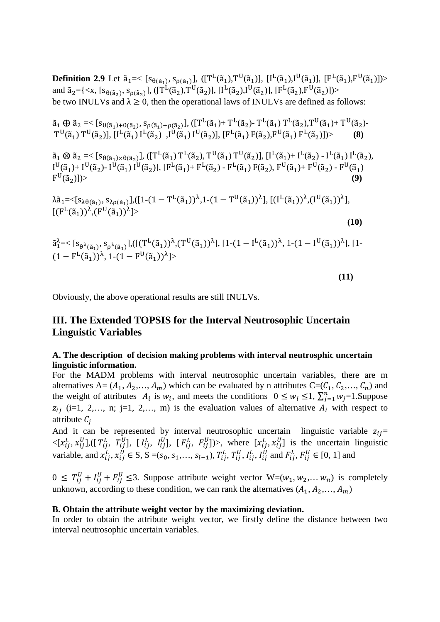**Definition 2.9** Let  $\tilde{a}_1 = \langle [s_{\theta(\tilde{a}_1)}, s_{\rho(\tilde{a}_1)}], ([T^L(\tilde{a}_1), T^U(\tilde{a}_1)], [I^L(\tilde{a}_1), I^U(\tilde{a}_1)], [F^L(\tilde{a}_1), F^U(\tilde{a}_1)] \rangle$ and  $\tilde{a}_2 = \{ \langle x, [s_{\theta(\tilde{a}_2)}, s_{\rho(\tilde{a}_2)}], ([T^L(\tilde{a}_2), T^U(\tilde{a}_2)], [I^L(\tilde{a}_2), I^U(\tilde{a}_2)], [F^L(\tilde{a}_2), F^U(\tilde{a}_2)] \rangle \}$ be two INULVs and  $\lambda \geq 0$ , then the operational laws of INULVs are defined as follows:

$$
\tilde{a}_1 \oplus \tilde{a}_2 = \langle [s_{\theta(\tilde{a}_1) + \theta(\tilde{a}_2)}, s_{\rho(\tilde{a}_1) + \rho(\tilde{a}_2)}], ([T^L(\tilde{a}_1) + T^L(\tilde{a}_2) - T^L(\tilde{a}_1) T^L(\tilde{a}_2), T^U(\tilde{a}_1) + T^U(\tilde{a}_2) - T^U(\tilde{a}_1) T^U(\tilde{a}_2) - T^U(\tilde{a}_1) T^U(\tilde{a}_2)] \rangle
$$
\n
$$
(8)
$$

 $\tilde{a}_1 \otimes \tilde{a}_2 = \langle [s_{\theta(\tilde{a}_1)} \times \theta(\tilde{a}_2)], ([T^L(\tilde{a}_1) T^L(\tilde{a}_2), T^U(\tilde{a}_1) T^U(\tilde{a}_2)], [I^L(\tilde{a}_1) + I^L(\tilde{a}_2) - I^L(\tilde{a}_1) I^L(\tilde{a}_2)],$  $I^{\mathsf{U}}(\tilde{a}_1)$ +  $I^{\mathsf{U}}(\tilde{a}_2)$ -  $I^{\mathsf{U}}(\tilde{a}_1)$   $I^{\mathsf{U}}(\tilde{a}_2)$ ],  $[F^{\mathsf{L}}(\tilde{a}_1)$ +  $F^{\mathsf{L}}(\tilde{a}_2)$  -  $F^{\mathsf{L}}(\tilde{a}_1)$  +  $F^{\mathsf{U}}(\tilde{a}_1)$  +  $F^{\mathsf{U}}(\tilde{a}_2)$  -  $F^{\mathsf{U}}(\tilde{a}_1)$  $F^U(\tilde{a}_2)$ ])>  $(\mathfrak{a}_2)]$ > (9)

$$
\lambda \tilde{a}_1 = \langle [s_{\lambda\theta(\tilde{a}_1)}, s_{\lambda\rho(\tilde{a}_1)}], ([1 - (1 - T^L(\tilde{a}_1))^{\lambda}, 1 - (1 - T^U(\tilde{a}_1))^{\lambda}], [[(I^L(\tilde{a}_1))^{\lambda}, (I^U(\tilde{a}_1))^{\lambda}], [[(F^L(\tilde{a}_1))^{\lambda}, (F^U(\tilde{a}_1))^{\lambda}] \rangle
$$

**(10)** 

$$
\tilde{a}_1^{\lambda} = \langle [s_{\theta^{\lambda}(\tilde{a}_1)}, s_{\rho^{\lambda}(\tilde{a}_1)}], ([(T^L(\tilde{a}_1))^{\lambda}, (T^U(\tilde{a}_1))^{\lambda}], [1 - (1 - I^L(\tilde{a}_1))^{\lambda}, 1 - (1 - I^U(\tilde{a}_1))^{\lambda}], [1 - (1 - F^L(\tilde{a}_1))^{\lambda}, 1 - (1 - F^U(\tilde{a}_1))^{\lambda}] \rangle
$$

 **(11)** 

Obviously, the above operational results are still INULVs.

# **III. The Extended TOPSIS for the Interval Neutrosophic Uncertain Linguistic Variables**

### **A. The description of decision making problems with interval neutrosphic uncertain linguistic information.**

For the MADM problems with interval neutrosophic uncertain variables, there are m alternatives A=  $(A_1, A_2, ..., A_m)$  which can be evaluated by n attributes C= $(C_1, C_2, ..., C_n)$  and the weight of attributes  $A_i$  is  $w_i$ , and meets the conditions  $0 \leq w_i \leq 1$ ,  $\sum_{j=1}^n w_j = 1$ . Suppose  $z_{ij}$  (i=1, 2,…, n; j=1, 2,…, m) is the evaluation values of alternative  $A_i$  with respect to attribute  $C_i$ 

And it can be represented by interval neutrosophic uncertain linguistic variable  $z_{ij}$  $\langle [x_{ij}^L, x_{ij}^U], ([T_{ij}^L, T_{ij}^U], [I_{ij}^L, I_{ij}^U], [F_{ij}^L, F_{ij}^U] \rangle$ , where  $[x_{ij}^L, x_{ij}^U]$  is the uncertain linguistic variable, and  $x_{ij}^L$ ,  $x_{ij}^U \in S$ ,  $S = (s_0, s_1, \ldots, s_{l-1}), T_{ij}^L, T_{ij}^U, I_{ij}^L, I_{ij}^U$  and  $F_{ij}^L, F_{ij}^U \in [0, 1]$  and

 $0 \leq T_{ij}^U + I_{ij}^U + F_{ij}^U \leq 3$ . Suppose attribute weight vector  $W=(w_1, w_2,..., w_n)$  is completely unknown, according to these condition, we can rank the alternatives  $(A_1, A_2, ..., A_m)$ 

#### **B. Obtain the attribute weight vector by the maximizing deviation.**

In order to obtain the attribute weight vector, we firstly define the distance between two interval neutrosophic uncertain variables.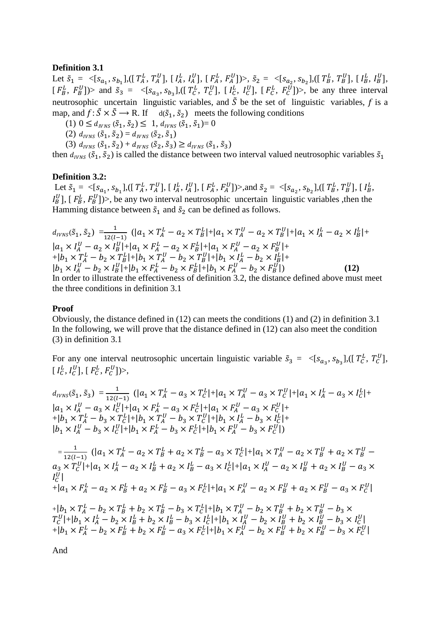#### **Definition 3.1**

Let  $\tilde{s}_1 = \langle [s_{a_1}, s_{b_1}], ([T_A^L, T_A^U], [I_A^L, I_A^U], [F_A^L, F_A^U]) \rangle, \tilde{s}_2 = \langle [s_{a_2}, s_{b_2}], ([T_B^L, T_B^U], [I_B^L, I_B^U],$  $[F_B^L, F_B^U]$ ) and  $\tilde{s}_3 = \langle [s_{a_3}, s_{b_3}], ([T_C^L, T_C^U], [I_C^L, I_C^U], [F_C^L, F_C^U]] \rangle$ , be any three interval neutrosophic uncertain linguistic variables, and  $\tilde{S}$  be the set of linguistic variables, f is a map, and  $f: \tilde{S} \times \tilde{S} \longrightarrow R$ . If  $d(\tilde{s}_1, \tilde{s}_2)$  meets the following conditions

(1)  $0 \leq d_{IVNS}(\tilde{s}_1, \tilde{s}_2) \leq 1, d_{IVNS}(\tilde{s}_1, \tilde{s}_1) = 0$ 

(2)  $d_{IVNS}(\tilde{S}_1, \tilde{S}_2) = d_{IVNS}(\tilde{S}_2, \tilde{S}_1)$ 

(3)  $d_{IVNS}(\tilde{S}_1, \tilde{S}_2) + d_{IVNS}(\tilde{S}_2, \tilde{S}_3) \ge d_{IVNS}(\tilde{S}_1, \tilde{S}_3)$ 

then  $d_{IVNS}$  ( $\tilde{s}_1$ ,  $\tilde{s}_2$ ) is called the distance between two interval valued neutrosophic variables  $\tilde{s}_1$ 

### **Definition 3.2:**

Let  $\tilde{s}_1 = \langle [s_{a_1}, s_{b_1}], ([T_A^L, T_A^U], [I_A^L, I_A^U], [F_A^L, F_A^U]] \rangle$ , and  $\tilde{s}_2 = \langle [s_{a_2}, s_{b_2}], ([T_B^L, T_B^U], [I_B^L, F_A^U]] \rangle$  $I_B^U$ ], [ $F_B^L$ ,  $F_B^U$ ])>, be any two interval neutrosophic uncertain linguistic variables ,then the Hamming distance between  $\tilde{s}_1$  and  $\tilde{s}_2$  can be defined as follows.

$$
d_{IVNS}(\tilde{s}_1, \tilde{s}_2) = \frac{1}{12(l-1)} (|a_1 \times T_A^L - a_2 \times T_B^L| + |a_1 \times T_A^U - a_2 \times T_B^U| + |a_1 \times I_A^L - a_2 \times I_B^L| + |a_1 \times T_A^L - a_2 \times T_B^U| + |a_1 \times T_A^L - a_2 \times T_B^L| + |a_1 \times T_A^L - b_2 \times T_B^L| + |b_1 \times T_A^L - b_2 \times T_B^L| + |b_1 \times T_A^U - b_2 \times T_B^U| + |b_1 \times T_A^L - b_2 \times T_B^U| + |b_1 \times T_A^L - b_2 \times T_B^U| + |b_1 \times T_A^L - b_2 \times T_B^U| + |b_1 \times T_A^L - b_2 \times T_B^U| + |b_1 \times T_A^L - b_2 \times T_B^U| + |b_1 \times T_A^L - b_2 \times T_B^U| + |b_1 \times T_A^L - b_2 \times T_B^U| + |b_1 \times T_A^L - b_2 \times T_B^U| + |b_1 \times T_A^L - b_2 \times T_B^U| + |b_1 \times T_A^L - b_2 \times T_B^U| + |b_1 \times T_A^L - b_2 \times T_B^U| + |b_1 \times T_A^L - b_2 \times T_B^L| + |b_1 \times T_A^L - b_2 \times T_B^L| + |b_1 \times T_A^L - b_2 \times T_B^L| + |b_1 \times T_A^L - b_2 \times T_B^L| + |b_1 \times T_A^L - b_2 \times T_B^L| + |b_1 \times T_A^L - b_2 \times T_B^L| + |b_1 \times T_A^L - b_2 \times T_B^L| + |b_1 \times T_A^L - b_2 \times T_B^L| + |b_1 \times T_A^L - b_2 \times T_B^L| + |b_1 \times T_A^L - b_2 \times T_B^L| + |b_1 \times T_A^L - b_2 \times T_B^L| + |b_1 \times T_A^L - b_2 \times T_B^L| + |b_1 \times T_A^L - b_2 \times T_B^L| + |b_1 \times T_A^L - b_2 \times T_B^L| + |
$$

the three conditions in definition 3.1

#### **Proof**

Obviously, the distance defined in (12) can meets the conditions (1) and (2) in definition 3.1 In the following, we will prove that the distance defined in (12) can also meet the condition (3) in definition 3.1

For any one interval neutrosophic uncertain linguistic variable  $\tilde{s}_3 = \langle [s_{a_3}, s_{b_3}], ([T_c^L, T_c^U],$  $[I_C^L, I_C^U], [F_C^L, F_C^U] \rangle$ ,

$$
d_{IVNS}(\tilde{s}_1, \tilde{s}_3) = \frac{1}{12(l-1)} (|a_1 \times T_A^L - a_3 \times T_C^L| + |a_1 \times T_A^U - a_3 \times T_C^U| + |a_1 \times I_A^L - a_3 \times I_C^L| + |a_1 \times T_A^L - a_3 \times T_C^L| + |a_1 \times T_A^L - a_3 \times F_C^L| + |b_1 \times T_A^L - b_3 \times T_C^L| + |b_1 \times T_A^U - b_3 \times T_C^U| + |b_1 \times I_A^L - b_3 \times I_C^L| + |b_1 \times I_A^L - b_3 \times I_C^L| + |b_1 \times I_A^L - b_3 \times I_C^L| + |b_1 \times I_A^L - b_3 \times F_C^L| + |b_1 \times F_A^L - b_3 \times F_C^L| + |b_1 \times F_A^L - b_3 \times F_C^L| + |b_1 \times T_A^U - b_3 \times T_C^U| + |b_1 \times T_A^L - a_2 \times T_B^L + a_2 \times T_B^L| + |a_1 \times T_A^U - a_2 \times T_B^U + a_2 \times T_B^U - a_3 \times T_C^U| + |a_1 \times I_A^L - a_2 \times I_B^L + a_2 \times I_B^L - a_3 \times I_C^L| + |a_1 \times I_A^U - a_2 \times I_B^U + a_2 \times I_B^U - a_3 \times I_C^U| + |a_1 \times F_A^L - a_2 \times F_B^L + a_2 \times F_B^L - a_3 \times F_C^L| + |a_1 \times F_A^U - a_2 \times F_B^U + a_2 \times F_B^U - a_3 \times F_C^U| + |b_1 \times T_A^L - b_2 \times T_B^L + b_2 \times T_B^L - b_3 \times T_C^L| + |b_1 \times T_A^U - b_2 \times T_B^U + b_2 \times T_B^U - b_3 \times T_C^U| + |b_1 \times I_A^L - b_2 \times I_B^L + b_2 \times I_B^L - a_3 \times F_C^L| + |b_1 \times T_A^L - b_2 \times T_B^L + b_2 \times T_B^L - a_3 \times F_C^L| + |b_1 \times T_A^
$$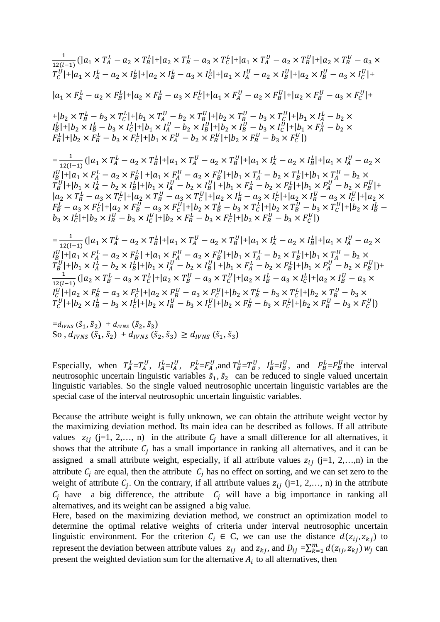$$
\frac{1}{12(1-1)}(\vert a_{1}\times T_{A}^{L} - a_{2}\times T_{B}^{L}\vert + \vert a_{2}\times T_{B}^{L} - a_{3}\times T_{C}^{L}\vert + \vert a_{1}\times T_{A}^{U} - a_{2}\times T_{B}^{U}\vert + \vert a_{2}\times T_{B}^{U} - a_{3}\times T_{C}^{U}\vert + \vert a_{1}\times I_{A}^{L} - a_{2}\times I_{B}^{L}\vert + \vert a_{2}\times I_{B}^{L} - a_{3}\times I_{C}^{L}\vert + \vert a_{1}\times I_{A}^{U} - a_{2}\times I_{B}^{U}\vert + \vert a_{2}\times I_{B}^{U} - a_{3}\times I_{C}^{U}\vert + \vert a_{1}\times T_{A}^{U} - a_{2}\times T_{B}^{U}\vert + \vert a_{2}\times T_{B}^{L} - a_{3}\times T_{C}^{U}\vert + \vert b_{1}\times T_{A}^{L} - b_{2}\times T_{B}^{L}\vert + \vert a_{1}\times F_{A}^{U} - a_{2}\times F_{B}^{U}\vert + \vert a_{2}\times F_{B}^{L} - a_{3}\times F_{C}^{U}\vert + \vert b_{1}\times T_{B}^{L} - b_{3}\times T_{C}^{L}\vert + \vert b_{1}\times T_{A}^{U} - b_{2}\times T_{B}^{U}\vert + \vert b_{2}\times T_{B}^{U} - b_{3}\times T_{C}^{U}\vert + \vert b_{1}\times T_{A}^{L} - b_{2}\times T_{B}^{L}\vert + \vert b_{2}\times T_{B}^{L} - b_{3}\times T_{C}^{U}\vert + \vert b_{1}\times T_{A}^{L} - b_{2}\times T_{B}^{L}\vert + \vert b_{1}\times T_{A}^{L} - b_{2}\times T_{B}^{U}\vert + \vert b_{2}\times T_{B}^{L} - b_{3}\times T_{C}^{U}\vert + \vert b_{1}\times T_{A}^{L} - b_{2}\times T_{B}^{L}\vert + \vert b_{1}\times T_{A}^{L} - b_{2}\times T_{B}^{U}\vert + \vert b_{1}\times T_{A}^{L} - a_{2}\times T_{B}^{U}\vert + \vert b_{1}\times T_{A}^{L} - a_{2}\times T_{B}^{U}\vert + \vert b_{1}\times T_{A}^{L} - a_{2}\times T_{B
$$

 $=d_{IVNS}(\tilde{S}_1, \tilde{S}_2) + d_{IVNS}(\tilde{S}_2, \tilde{S}_3)$ So,  $d_{IVNS}$  ( $\tilde{s}_1$ ,  $\tilde{s}_2$ ) +  $d_{IVNS}$  ( $\tilde{s}_2$ ,  $\tilde{s}_3$ )  $\geq d_{IVNS}$  ( $\tilde{s}_1$ ,  $\tilde{s}_3$ )

Especially, when  $T_A^L = T_A^U$ ,  $I_A^L = I_A^U$ ,  $F_A^L = F_A^U$ , and  $T_B^L = T_B^U$ ,  $I_B^L = I_B^U$ , and  $F_B^L = F_B^U$  the interval neutrosophic uncertain linguistic variables  $\tilde{s}_1$ ,  $\tilde{s}_2$  can be reduced to single valued uncertain linguistic variables. So the single valued neutrosophic uncertain linguistic variables are the special case of the interval neutrosophic uncertain linguistic variables.

Because the attribute weight is fully unknown, we can obtain the attribute weight vector by the maximizing deviation method. Its main idea can be described as follows. If all attribute values  $z_{ij}$  (j=1, 2,…, n) in the attribute  $C_j$  have a small difference for all alternatives, it shows that the attribute  $C_j$  has a small importance in ranking all alternatives, and it can be assigned a small attribute weight, especially, if all attribute values  $z_{ij}$  (j=1, 2,…,n) in the attribute  $C_j$  are equal, then the attribute  $C_j$  has no effect on sorting, and we can set zero to the weight of attribute  $C_j$ . On the contrary, if all attribute values  $z_{ij}$  (j=1, 2,…, n) in the attribute  $C_j$  have a big difference, the attribute  $C_j$  will have a big importance in ranking all alternatives, and its weight can be assigned a big value.

Here, based on the maximizing deviation method, we construct an optimization model to determine the optimal relative weights of criteria under interval neutrosophic uncertain linguistic environment. For the criterion  $C_i \in C$ , we can use the distance  $d(z_{ij}, z_{ki})$  to represent the deviation between attribute values  $z_{ij}$  and  $z_{kj}$ , and  $D_{ij} = \sum_{k=1}^m d(z_{ij}, z_{kj}) w_j$  can present the weighted deviation sum for the alternative  $A_i$  to all alternatives, then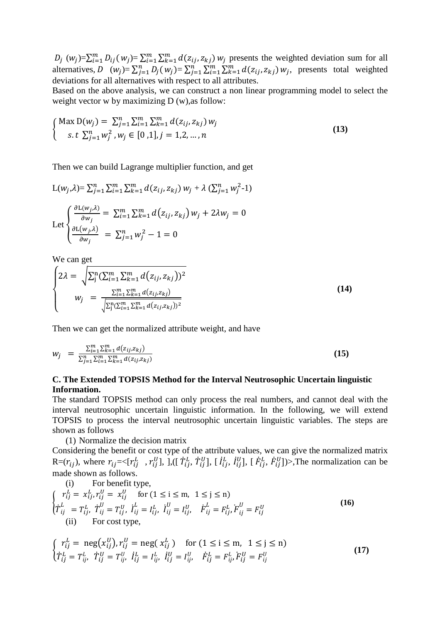$D_j$  ( $w_j$ )= $\sum_{i=1}^m D_{ij} (w_j) = \sum_{i=1}^m \sum_{k=1}^m d(z_{ij}, z_{kj}) w_j$  presents the weighted deviation sum for all alternatives,  $D(w_j) = \sum_{j=1}^n D_j(w_j) = \sum_{j=1}^n \sum_{i=1}^m \sum_{k=1}^m d(z_{ij}, z_{kj}) w_j$ , presents total weighted deviations for all alternatives with respect to all attributes.

Based on the above analysis, we can construct a non linear programming model to select the weight vector w by maximizing D (w), as follow:

$$
\begin{cases}\n\text{Max } \mathcal{D}(w_j) = \sum_{j=1}^n \sum_{i=1}^m \sum_{k=1}^m d(z_{ij}, z_{kj}) w_j \\
\text{s.t } \sum_{j=1}^n w_j^2, w_j \in [0, 1], j = 1, 2, ..., n\n\end{cases}
$$
\n(13)

Then we can build Lagrange multiplier function, and get

$$
L(w_j, \lambda) = \sum_{j=1}^n \sum_{i=1}^m \sum_{k=1}^m d(z_{ij}, z_{kj}) w_j + \lambda (\sum_{j=1}^n w_j^2 - 1)
$$
  
Let 
$$
\begin{cases} \frac{\partial L(w_j, \lambda)}{\partial w_j} = \sum_{i=1}^m \sum_{k=1}^m d(z_{ij}, z_{kj}) w_j + 2\lambda w_j = 0\\ \frac{\partial L(w_j, \lambda)}{\partial w_j} = \sum_{j=1}^n w_j^2 - 1 = 0 \end{cases}
$$

We can get

$$
\begin{cases}\n2\lambda = \sqrt{\sum_{j=1}^{n} \sum_{i=1}^{m} \sum_{k=1}^{m} d(z_{ij}, z_{kj}))^{2}} \\
w_{j} = \frac{\sum_{i=1}^{m} \sum_{k=1}^{m} d(z_{ij}, z_{kj})}{\sqrt{\sum_{j=1}^{n} \sum_{k=1}^{m} d(z_{ij}, z_{kj}))^{2}}\n\end{cases} (14)
$$

Then we can get the normalized attribute weight, and have

$$
w_j = \frac{\sum_{i=1}^m \sum_{k=1}^m d(z_{ij}, z_{kj})}{\sum_{j=1}^n \sum_{i=1}^m \sum_{k=1}^m d(z_{ij}, z_{kj})}
$$
(15)

### **C. The Extended TOPSIS Method for the Interval Neutrosophic Uncertain linguistic Information.**

The standard TOPSIS method can only process the real numbers, and cannot deal with the interval neutrosophic uncertain linguistic information. In the following, we will extend TOPSIS to process the interval neutrosophic uncertain linguistic variables. The steps are shown as follows

(1) Normalize the decision matrix

Considering the benefit or cost type of the attribute values, we can give the normalized matrix R= $(r_{ij})$ , where  $r_{ij} = \langle [r_{ij}^L, r_{ij}^U],], [T_{ij}^L, T_{ij}^U], [I_{ij}^L, I_{ij}^U], [F_{ij}^L, F_{ij}^U] \rangle$ . The normalization can be é made shown as follows.

(i) For benefit type,  
\n
$$
\begin{cases}\nr_{ij}^{L} = x_{ij}^{L}, r_{ij}^{U} = x_{ij}^{U} & \text{for } (1 \le i \le m, \ 1 \le j \le n) \\
\dot{T}_{ij}^{L} = T_{ij}^{L}, \ \dot{T}_{ij}^{U} = T_{ij}^{U}, \ \dot{I}_{ij}^{L} = I_{ij}^{L}, \ \dot{I}_{ij}^{U} = I_{ij}^{U}, \ \dot{F}_{ij}^{L} = F_{ij}^{L}, \dot{F}_{ij}^{U} = F_{ij}^{U} \\
\text{(ii) For cost type,}\n\end{cases}
$$
\n(16)

$$
\begin{cases}\n r_{ij}^L = \text{neg}(x_{ij}^U), r_{ij}^U = \text{neg}(x_{ij}^L) & \text{for } (1 \le i \le m, \ 1 \le j \le n) \\
 \dot{T}_{ij}^L = T_{ij}^L, \ \dot{T}_{ij}^U = T_{ij}^U, \ \dot{I}_{ij}^L = I_{ij}^L, \ \dot{I}_{ij}^U = I_{ij}^U, \ \ \dot{F}_{ij}^L = F_{ij}^L, F_{ij}^U = F_{ij}^U\n\end{cases}
$$
\n(17)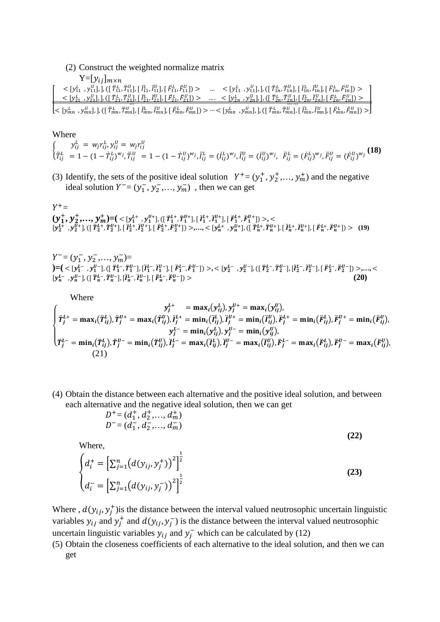(2) Construct the weighted normalize matrix  $Y=[y_{ij}]_{m\times n}$ 

ô < [ò<sup>55</sup> / , ò<sup>55</sup> <sup>K</sup> ], ], ([ õ 55 / , õ 55 <sup>K</sup> ], [ õ 55 / , õ 55 <sup>K</sup> ], [ õ 55 / , õ 55 <sup>K</sup> ]) > … < [ò<sup>55</sup> / , ò<sup>55</sup> <sup>K</sup> ], ], ([ õ 5[ / , õ 5[ <sup>K</sup> ], [ õ 5[ / , õ 5[ <sup>K</sup> ], [ õ 5[ / , õ 5[ <sup>K</sup> ]) > < [ò<sup>85</sup> / , ò<sup>85</sup> <sup>K</sup> ], ], ([ õ 85 / , õ 85 <sup>K</sup> ], [ õ 85 / , õ 85 <sup>K</sup> ], [ õ 85 / , õ 85 <sup>K</sup> ]) > … . < [ò8[ / , ò8[ <sup>K</sup> ], ], ([ õ 8[ / , õ 8[ <sup>K</sup> ], [ õ 8[ / , õ 8[ <sup>K</sup> ], [ õ 8[ / , õ 8[ <sup>K</sup> ]) > … < [òY[ / , òY[ <sup>K</sup> ], ], ([ õY[ / , õY[ <sup>K</sup> ], [ õY[ / , õY[ <sup>K</sup> ], [ õY[ / , õY[ <sup>K</sup> ]) > … … … < [òY[ / , òY[ <sup>K</sup> ], ], ([ õY[ / , õY[ <sup>K</sup> ], [ õY[ / , õY[ <sup>K</sup> ], [ õY[ / , õY[ <sup>K</sup> ]) >ù

#### Where

 $\begin{cases} y_{ij}^L = w_j r_{ij}^L, y_{ij}^U = w_j r_{ij}^U \\ \ddot{r}^L = 1 \end{cases}$  $\ddot{T}_{ij}^L = 1 - (1 - \dot{T}_{ij}^L)^{w_j}, \ddot{T}_{ij}^U = 1 - (1 - \dot{T}_{ij}^U)^{w_j}, \ddot{i}_{ij}^L = (\dot{i}_{ij}^L)^{w_j}, \ddot{i}_{ij}^U = (\dot{i}_{ij}^U)^{w_j}, \ \ddot{F}_{ij}^L = (\dot{F}_{ij}^L)^{w_j}, \ddot{F}_{ij}^U = (\dot{F}_{ij}^U)^{w_j}$  (18)

(3) Identify, the sets of the positive ideal solution  $Y^+ = (y_1^+, y_2^+, \dots, y_m^+)$  and the negative ideal solution  $Y^- = (y_1^-, y_2^-, \dots, y_m^-)$ , then we can get

# $Y^+ =$  $(\mathbf{y}_1^+, \mathbf{y}_2^+, ..., \mathbf{y}_m^+) = ( \langle y_1^{l+}, y_1^{l+} \rangle , ([\ddot{T}_1^{l+}, \ddot{T}_1^{l+}], [\ddot{I}_1^{l+}, \ddot{I}_1^{l+}], [\ddot{F}_1^{l+}, \ddot{F}_1^{l+}]) \rangle , \langle \rangle$  $[y_2^{L+}, y_2^{U+}]$ ,  $([T_2^{L+}, T_2^{U+}]$ ,  $[T_2^{L+}, T_2^{U+}]$ ,  $[F_2^{L+}, F_2^{U+}]$ ) >,...,  $\leq [y_n^{L+}, y_n^{U+}]$ ,  $([T_n^{L+}, T_n^{U+}]$ ,  $[T_n^{L+}, T_n^{U+}]$ ,  $[F_n^{L+}, F_n^{U+}]$ ) > (19)

 $Y^- = (y_1^-, y_2^-, \ldots, y_m^-) =$  $=[<[y_1^{L^-}, y_1^{U^-}] , ([\ddot{T}_1^{L^-}, \ddot{T}_1^{U^-}] , [\ddot{I}_1^{L^-}, \ddot{I}_1^{U^-}] , [\ddot{F}_1^{L^-}, \ddot{F}_1^{U^-}] )>,<\\>[y_2^{L^-}, y_2^{U^-}] , [[\ddot{T}_2^{L^-}, \ddot{T}_2^{U^-}] , [\ddot{I}_2^{L^-}, \ddot{I}_2^{U^-}] , [\ddot{F}_2^{L^-}, \ddot{F}_2^{U^-}] )>,...,<\\$  $[y_n^{L-}, y_n^{U-}], ([T_n^{L-}, T_n^{U-}], [T_n^{L-}, T_n^{U-}], [F_n^{L-}, F_n^{U-}$  $\binom{U-1}{n}$  > (20)

Where

$$
\begin{cases}\n y_j^{L+} = \max_i(y_{ij}^L), y_j^{U+} = \max_i(y_{ij}^U), \\
 \ddot{T}_j^{L+} = \max_i(\ddot{T}_{ij}^L), \ddot{T}_j^{U+} = \min_i(\ddot{T}_{ij}^L), \ddot{T}_j^{U+} = \min_i(\ddot{T}_{ij}^U), \ddot{F}_j^{L+} = \min_i(\ddot{F}_{ij}^U), \ddot{F}_j^{U+} = \min_i(\ddot{F}_{ij}^U), \\
 y_j^{L-} = \min_i(y_{ij}^L), y_j^{U-} = \min_i(y_{ij}^U), \\
 \ddot{T}_j^{L-} = \min_i(\ddot{T}_{ij}^L), \ddot{T}_j^{U-} = \max_i(\ddot{T}_{ij}^L), \ddot{T}_j^{U-} = \max_i(\ddot{T}_{ij}^U), \ddot{F}_j^{L-} = \max_i(\ddot{F}_{ij}^L), \ddot{F}_j^{U-} = \max_i(\ddot{F}_{ij}^U), \\
 (21)\n\end{cases}
$$

(4) Obtain the distance between each alternative and the positive ideal solution, and between each alternative and the negative ideal solution, then we can get

$$
D^+ = (d_1^+, d_2^+, \dots, d_m^+)
$$
  

$$
D^- = (d_1^-, d_2^-, \dots, d_m^-)
$$
 (22)

Where,

$$
\begin{cases} d_i^+ = \left[ \sum_{j=1}^n (d(y_{ij}, y_j^+))^2 \right]^{\frac{1}{2}} \\ d_i^- = \left[ \sum_{j=1}^n (d(y_{ij}, y_j^-))^2 \right]^{\frac{1}{2}} \end{cases}
$$
 (23)

Where ,  $d(y_{ij}, y_j^+)$  is the distance between the interval valued neutrosophic uncertain linguistic variables  $y_{ij}$  and  $y_j^+$  and  $d(y_{ij}, y_j^-)$  is the distance between the interval valued neutrosophic uncertain linguistic variables  $y_{ij}$  and  $y_j^-$  which can be calculated by (12)

(5) Obtain the closeness coefficients of each alternative to the ideal solution, and then we can get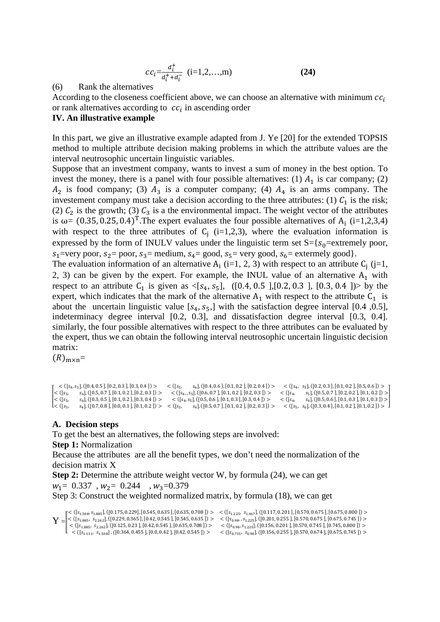$$
cc_i = \frac{d_i^+}{d_i^+ + d_i^-} \quad (i = 1, 2, \dots, m)
$$
 (24)

#### (6) Rank the alternatives

According to the closeness coefficient above, we can choose an alternative with minimum  $cc_i$ or rank alternatives according to  $cc_i$  in ascending order

#### **IV. An illustrative example**

In this part, we give an illustrative example adapted from J. Ye [20] for the extended TOPSIS method to multiple attribute decision making problems in which the attribute values are the interval neutrosophic uncertain linguistic variables.

Suppose that an investment company, wants to invest a sum of money in the best option. To invest the money, there is a panel with four possible alternatives: (1)  $A_1$  is car company; (2)  $A_2$  is food company; (3)  $A_3$  is a computer company; (4)  $A_4$  is an arms company. The investement company must take a decision according to the three attributes: (1)  $C_1$  is the risk; (2)  $C_2$  is the growth; (3)  $C_3$  is a the environmental impact. The weight vector of the attributes is  $\omega = (0.35, 0.25, 0.4)^T$ . The expert evaluates the four possible alternatives of A<sub>i</sub> (i=1,2,3,4) with respect to the three attributes of  $C_j$  (i=1,2,3), where the evaluation information is expressed by the form of INULV values under the linguistic term set  $S = \{s_0 =$ extremely poor,  $s_1$ =very poor,  $s_2$ = poor,  $s_3$ = medium,  $s_4$ = good,  $s_5$ = very good,  $s_6$ = extermely good}.

The evaluation information of an alternative  $A_i$  (i=1, 2, 3) with respect to an attribute  $C_j$  (j=1, 2, 3) can be given by the expert. For example, the INUL value of an alternative  $A_1$  with respect to an attribute  $C_1$  is given as  $\langle [s_4, s_5], (0.4, 0.5], [0.2, 0.3], [0.3, 0.4] \rangle$  by the expert, which indicates that the mark of the alternative  $A_1$  with respect to the attribute  $C_1$  is about the uncertain linguistic value  $[s_4, s_5]$  with the satisfaction degree interval [0.4 ,0.5], indeterminacy degree interval [0.2, 0.3], and dissatisfaction degree interval [0.3, 0.4]. similarly, the four possible alternatives with respect to the three attributes can be evaluated by the expert, thus we can obtain the following interval neutrosophic uncertain linguistic decision matrix:

 $(R)_{m \times n}$ =

|                                   | $<$ ([s <sub>4</sub> , s <sub>5</sub> ], ([0.4, 0.5], [0.2, 0.3], [0.3, 0.4]) > | $\lt$ ([ $S_{5}$ ,        | $s_6$ , $(0.4, 0.6)$ , $(0.1, 0.2)$ , $(0.2, 0.4)$                              |                   | $<$ ([s <sub>4</sub> , s <sub>5</sub> ], ([0.2, 0.3], [0.1, 0.2], [0.5, 0.6]) > |
|-----------------------------------|---------------------------------------------------------------------------------|---------------------------|---------------------------------------------------------------------------------|-------------------|---------------------------------------------------------------------------------|
| $\leq$ ( $ s_{5}$ ,               | $s6$ , ([0.5, 0.7], [0.1, 0.2], [0.2, 0.3]) >                                   |                           | $<$ ([ $S_4, S_5$ ], ([0.6, 0.7], [0.1, 0.2], [0.2, 0.3]) >                     | $<$ (  $S_4$ )    | $s_5$ , $(0.5, 0.7)$ , $(0.2, 0.2)$ , $(0.1, 0.2)$                              |
| $\mathsf{I}$ < ([s <sub>5</sub> , | $s6$ , ([0.3, 0.5], [0.1, 0.2], [0.3, 0.4]) >                                   |                           | $<$ ([s <sub>4</sub> , s <sub>5</sub> ], ([0.5, 0.6], [0.1, 0.3], [0.3, 0.4]) > | $<$ (   $S_{A}$ ) | $s_4$ , $($ [0.5, 0.6 ], [0.1, 0.3 ], [0.1, 0.3 ]) >                            |
| $I<$ ([ $s_3$ ,                   | $s_4$ , ([0.7, 0.8], [0.0, 0.1], [0.1, 0.2]) >                                  | $\leq$ (Is <sub>2</sub> . | $s_4$ , ([0.5, 0.7,], [0.1, 0.2,], [0.2, 0.3,]) >                               |                   | $<$ ([s <sub>5</sub> , s <sub>6</sub> ], ([0.3, 0.4], [0.1, 0.2], [0.1, 0.2]) > |

#### **A. Decision steps**

To get the best an alternatives, the following steps are involved:

**Step 1:** Normalization

Because the attributes are all the benefit types, we don't need the normalization of the decision matrix X

**Step 2:** Determine the attribute weight vector W, by formula (24), we can get  $W_1 = 0.337$ ,  $W_2 = 0.244$ ,  $W_3 = 0.379$ 

Step 3: Construct the weighted normalized matrix, by formula (18), we can get

 $\mathbf{Y} = \begin{bmatrix} \langle (s_{1,508}, s_{1,885}), (10.175, 0.229), (0.545, 0.635), (10.635, 0.708 \end{bmatrix}) \rangle \\ \langle (s_{1,885}, s_{2,262}), (10.229, 0.365 \}, [0.42, 0.545], [0.545, 0.635]) \rangle \\ \langle (s_{1,885}, s_{2,262}), (10.229, 0.365 \}, [0.42, 0.545], [0.545, 0.635]) \rangle \\ \langle (s_{1$  $\langle$  ([ $s_{1.885}, s_{2.262}$ ], ([0.229, 0.365 ], [0.42, 0.545 ], [0.545, 0.635 ])  $>$   $\langle$  ([ $s_{0.98}, s_{1.225}$ ], ([0.201, 0.255 ], [0.570, 0.675 ], [0.675, 0.745 ])  $>$  $<$  ([ $s_{1.885}$ ,  $s_{2.262}$ ], ([0.125, 0.23 ], [0.42, 0.545 ], [0.635, 0.708 ])  $>$  $<$  ([ $s_{1.131}$ ,  $s_{1.508}$ ], ([0.364, 0.455 ], [0.0, 0.42 ], [0.42, 0.545 ])  $>$  $<$  ([ $s_{0.98}, s_{1.225}$ ], ([0.156, 0.201 ], [0.570, 0.745 ], [0.745, 0.800 ])  $>$  $<$  ([ $s_{0.735}$ ,  $s_{0.98}$ ], ([0.156, 0.255 ], [0.570, 0.674 ], [0.675, 0.745 ])  $>$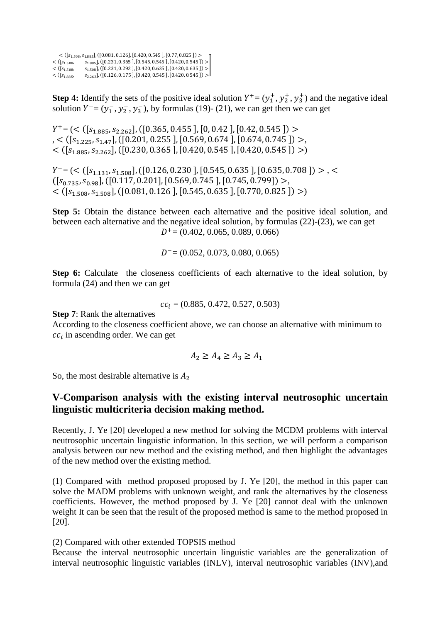$<$  ([ $s_{1.508}, s_{1.885}$ ], ([0.081, 0.126], [0.420, 0.545 ], [0.77, 0.825 ]) >  $\langle$  ([ $s_{1.508}$ ,  $s_{1.885}$ ], ([0.231, 0.365], [0.545, 0.545], [0.420, 0.545])  $>$  $\langle$  ([ $s_{1.508}, s_{1.508}$ ], ([0.231, 0.292 ], [0.420, 0.635 ], [0.420, 0.635 ]) >  $<([s<sub>1.885</sub>, s<sub>2.262</sub>],[[0.126, 0.175],[0.420, 0.545],[0.420, 0.545]])>$ 

**Step 4:** Identify the sets of the positive ideal solution  $Y^+ = (y_1^+, y_2^+, y_3^+)$  and the negative ideal solution  $Y = (y_1^-, y_2^-, y_3^-)$ , by formulas (19)- (21), we can get then we can get

 $Y^+ = \left( \langle \left( [s_{1.885}, s_{2.262}], \left( [0.365, 0.455], [0, 0.42], [0.42, 0.545] \right) \right) \rangle \right)$  $, < (s_{1,225}, s_{1,47}], (s_{1,201}, 0.255], [0.569, 0.674], [0.674, 0.745])$  $\langle$  ([ $S_{1.885}, S_{2.262}$ ], ([0.230, 0.365], [0.420, 0.545], [0.420, 0.545]) >)

 $Y^- = \left( \langle \left[ s_{1,131}, s_{1.508} \right], \left( \left[ 0.126, 0.230 \right], \left[ 0.545, 0.635 \right], \left[ 0.635, 0.708 \right] \right) \rangle, \langle \rangle$  $([s_{0.735}, s_{0.98}], ([0.117, 0.201], [0.569, 0.745], [0.745, 0.799]) >$  $\langle$  ([ $s_{1.508}, s_{1.508}$ ], ([0.081, 0.126], [0.545, 0.635], [0.770, 0.825]) >)

**Step 5:** Obtain the distance between each alternative and the positive ideal solution, and between each alternative and the negative ideal solution, by formulas (22)-(23), we can get  $D^+$  = (0.402, 0.065, 0.089, 0.066)

 $D^-$  = (0.052, 0.073, 0.080, 0.065)

**Step 6:** Calculate the closeness coefficients of each alternative to the ideal solution, by formula (24) and then we can get

 $cc_i = (0.885, 0.472, 0.527, 0.503)$ 

**Step 7**: Rank the alternatives

According to the closeness coefficient above, we can choose an alternative with minimum to  $cc_i$  in ascending order. We can get

$$
A_2 \ge A_4 \ge A_3 \ge A_1
$$

So, the most desirable alternative is  $A_2$ 

# **V-Comparison analysis with the existing interval neutrosophic uncertain linguistic multicriteria decision making method.**

Recently, J. Ye [20] developed a new method for solving the MCDM problems with interval neutrosophic uncertain linguistic information. In this section, we will perform a comparison analysis between our new method and the existing method, and then highlight the advantages of the new method over the existing method.

(1) Compared with method proposed proposed by J. Ye [20], the method in this paper can solve the MADM problems with unknown weight, and rank the alternatives by the closeness coefficients. However, the method proposed by J. Ye [20] cannot deal with the unknown weight It can be seen that the result of the proposed method is same to the method proposed in [20].

(2) Compared with other extended TOPSIS method

Because the interval neutrosophic uncertain linguistic variables are the generalization of interval neutrosophic linguistic variables (INLV), interval neutrosophic variables (INV),and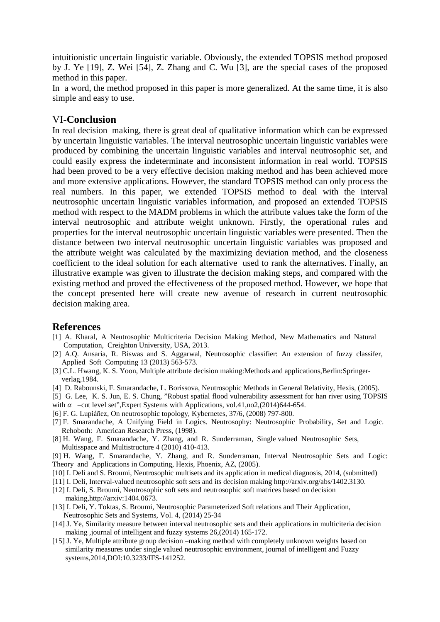intuitionistic uncertain linguistic variable. Obviously, the extended TOPSIS method proposed by J. Ye [19], Z. Wei [54], Z. Zhang and C. Wu [3], are the special cases of the proposed method in this paper.

In a word, the method proposed in this paper is more generalized. At the same time, it is also simple and easy to use.

### VI**-Conclusion**

In real decision making, there is great deal of qualitative information which can be expressed by uncertain linguistic variables. The interval neutrosophic uncertain linguistic variables were produced by combining the uncertain linguistic variables and interval neutrosophic set, and could easily express the indeterminate and inconsistent information in real world. TOPSIS had been proved to be a very effective decision making method and has been achieved more and more extensive applications. However, the standard TOPSIS method can only process the real numbers. In this paper, we extended TOPSIS method to deal with the interval neutrosophic uncertain linguistic variables information, and proposed an extended TOPSIS method with respect to the MADM problems in which the attribute values take the form of the interval neutrosophic and attribute weight unknown. Firstly, the operational rules and properties for the interval neutrosophic uncertain linguistic variables were presented. Then the distance between two interval neutrosophic uncertain linguistic variables was proposed and the attribute weight was calculated by the maximizing deviation method, and the closeness coefficient to the ideal solution for each alternative used to rank the alternatives. Finally, an illustrative example was given to illustrate the decision making steps, and compared with the existing method and proved the effectiveness of the proposed method. However, we hope that the concept presented here will create new avenue of research in current neutrosophic decision making area.

### **References**

- [1] A. Kharal, A Neutrosophic Multicriteria Decision Making Method, New Mathematics and Natural Computation, Creighton University, USA, 2013.
- [2] A.Q. Ansaria, R. Biswas and S. Aggarwal, Neutrosophic classifier: An extension of fuzzy classifer, Applied Soft Computing 13 (2013) 563-573.
- [3] C.L. Hwang, K. S. Yoon, Multiple attribute decision making:Methods and applications,Berlin:Springer verlag,1984.
- [4] D. Rabounski, F. Smarandache, L. Borissova, Neutrosophic Methods in General Relativity, Hexis, (2005).
- [5] G. Lee, K. S. Jun, E. S. Chung, "Robust spatial flood vulnerability assessment for han river using TOPSIS with  $\alpha$  –cut level set", Expert Systems with Applications, vol.41,no2,(2014)644-654.
- [6] F. G. Lupiáñez, On neutrosophic topology, Kybernetes, 37/6, (2008) 797-800.
- [7] F. Smarandache, A Unifying Field in Logics. Neutrosophy: Neutrosophic Probability, Set and Logic. Rehoboth: American Research Press, (1998).
- [8] H. Wang, F. Smarandache, Y. Zhang, and R. Sunderraman, Single valued Neutrosophic Sets, Multisspace and Multistructure 4 (2010) 410-413.
- [9] H. Wang, F. Smarandache, Y. Zhang, and R. Sunderraman, Interval Neutrosophic Sets and Logic: Theory and Applications in Computing, Hexis, Phoenix, AZ, (2005).
- [10] I. Deli and S. Broumi, Neutrosophic multisets and its application in medical diagnosis, 2014, (submitted)
- [11] I. Deli, Interval-valued neutrosophic soft sets and its decision making http://arxiv.org/abs/1402.3130.
- [12] I. Deli, S. Broumi, Neutrosophic soft sets and neutrosophic soft matrices based on decision making,http://arxiv:1404.0673.
- [13] I. Deli, Y. Toktas, S. Broumi, Neutrosophic Parameterized Soft relations and Their Application, Neutrosophic Sets and Systems, Vol. 4, (2014) 25-34
- [14] J. Ye, Similarity measure between interval neutrosophic sets and their applications in multiciteria decision making ,journal of intelligent and fuzzy systems 26,(2014) 165-172.
- [15] J. Ye, Multiple attribute group decision –making method with completely unknown weights based on similarity measures under single valued neutrosophic environment, journal of intelligent and Fuzzy systems,2014,DOI:10.3233/IFS-141252.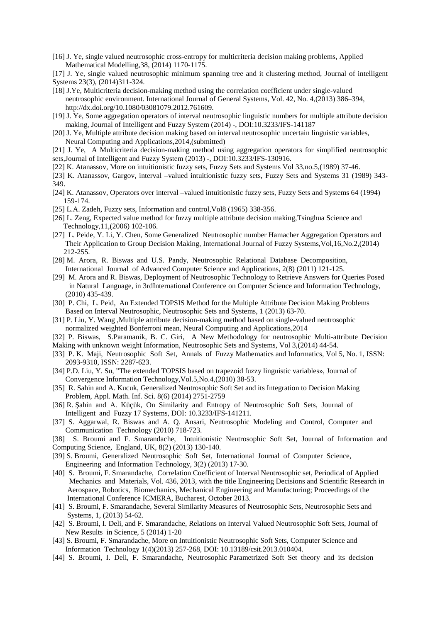- [16] J. Ye, single valued neutrosophic cross-entropy for multicriteria decision making problems, Applied Mathematical Modelling,38, (2014) 1170-1175.
- [17] J. Ye, single valued neutrosophic minimum spanning tree and it clustering method, Journal of intelligent Systems 23(3), (2014)311-324.
- [18] J.Ye, Multicriteria decision-making method using the correlation coefficient under single-valued neutrosophic environment. International Journal of General Systems, Vol. 42, No. 4,(2013) 386–394, http://dx.doi.org/10.1080/03081079.2012.761609.
- [19] J. Ye, Some aggregation operators of interval neutrosophic linguistic numbers for multiple attribute decision making, Journal of Intelligent and Fuzzy System (2014) -, DOI:10.3233/IFS-141187
- [20] J. Ye, Multiple attribute decision making based on interval neutrosophic uncertain linguistic variables, Neural Computing and Applications,2014,(submitted)
- [21] J. Ye, A Multicriteria decision-making method using aggregation operators for simplified neutrosophic sets,Journal of Intelligent and Fuzzy System (2013) -, DOI:10.3233/IFS-130916.
- [22] K. Atanassov, More on intuitionistic fuzzy sets, Fuzzy Sets and Systems Vol 33,no.5,(1989) 37-46.
- [23] K. Atanassov, Gargov, interval –valued intuitionistic fuzzy sets, Fuzzy Sets and Systems 31 (1989) 343- 349.
- [24] K. Atanassov, Operators over interval –valued intuitionistic fuzzy sets, Fuzzy Sets and Systems 64 (1994) 159-174.
- [25] L.A. Zadeh, Fuzzy sets, Information and control, Vol8 (1965) 338-356.
- [26] L. Zeng, Expected value method for fuzzy multiple attribute decision making,Tsinghua Science and Technology,11,(2006) 102-106.
- [27] L. Peide, Y. Li, Y. Chen, Some Generalized Neutrosophic number Hamacher Aggregation Operators and Their Application to Group Decision Making, International Journal of Fuzzy Systems,Vol,16,No.2,(2014) 212-255.
- [28] M. Arora, R. Biswas and U.S. Pandy, Neutrosophic Relational Database Decomposition, International Journal of Advanced Computer Science and Applications, 2(8) (2011) 121-125.
- [29] M. Arora and R. Biswas, Deployment of Neutrosophic Technology to Retrieve Answers for Queries Posed in Natural Language, in 3rdInternational Conference on Computer Science and Information Technology, (2010) 435-439.
- [30] P. Chi, L. Peid, An Extended TOPSIS Method for the Multiple Attribute Decision Making Problems Based on Interval Neutrosophic, Neutrosophic Sets and Systems, 1 (2013) 63-70.
- [31] P. Liu, Y. Wang ,Multiple attribute decision-making method based on single-valued neutrosophic normalized weighted Bonferroni mean, Neural Computing and Applications,2014
- [32] P. Biswas, S.Paramanik, B. C. Giri, A New Methodology for neutrosophic Multi-attribute Decision
- Making with unknown weight Information, Neutrosophic Sets and Systems, Vol 3,(2014) 44-54.
- [33] P. K. Maji, Neutrosophic Soft Set, Annals of Fuzzy Mathematics and Informatics, Vol 5, No. 1, ISSN: 2093-9310, ISSN: 2287-623.
- [34] P.D. Liu, Y. Su, "The extended TOPSIS based on trapezoid fuzzy linguistic variables», Journal of Convergence Information Technology,Vol.5,No.4,(2010) 38-53.
- [35] R. Sahin and A. Kucuk, Generalized Neutrosophic Soft Set and its Integration to Decision Making Problem, Appl. Math. Inf. Sci. 8(6) (2014) 2751-2759
- [36] R. Şahin and A. Küçük, On Similarity and Entropy of Neutrosophic Soft Sets, Journal of Intelligent and Fuzzy 17 Systems, DOI: 10.3233/IFS-141211.
- [37] S. Aggarwal, R. Biswas and A. Q. Ansari, Neutrosophic Modeling and Control, Computer and Communication Technology (2010) 718-723.
- [38] S. Broumi and F. Smarandache, Intuitionistic Neutrosophic Soft Set, Journal of Information and Computing Science, England, UK, 8(2) (2013) 130-140.
- [39] S. Broumi, Generalized Neutrosophic Soft Set, International Journal of Computer Science, Engineering and Information Technology, 3(2) (2013) 17-30.
- [40] S. Broumi, F. Smarandache, Correlation Coefficient of Interval Neutrosophic set, Periodical of Applied Mechanics and Materials, Vol. 436, 2013, with the title Engineering Decisions and Scientific Research in Aerospace, Robotics, Biomechanics, Mechanical Engineering and Manufacturing; Proceedings of the International Conference ICMERA, Bucharest, October 2013.
- [41] S. Broumi, F. Smarandache, Several Similarity Measures of Neutrosophic Sets, Neutrosophic Sets and Systems, 1, (2013) 54-62.
- [42] S. Broumi, I. Deli, and F. Smarandache, Relations on Interval Valued Neutrosophic Soft Sets, Journal of New Results in Science, 5 (2014) 1-20
- [43] S. Broumi, F. Smarandache, More on Intuitionistic Neutrosophic Soft Sets, Computer Science and Information Technology 1(4)(2013) 257-268, DOI: 10.13189/csit.2013.010404.
- [44] S. Broumi, I. Deli, F. Smarandache, Neutrosophic Parametrized Soft Set theory and its decision